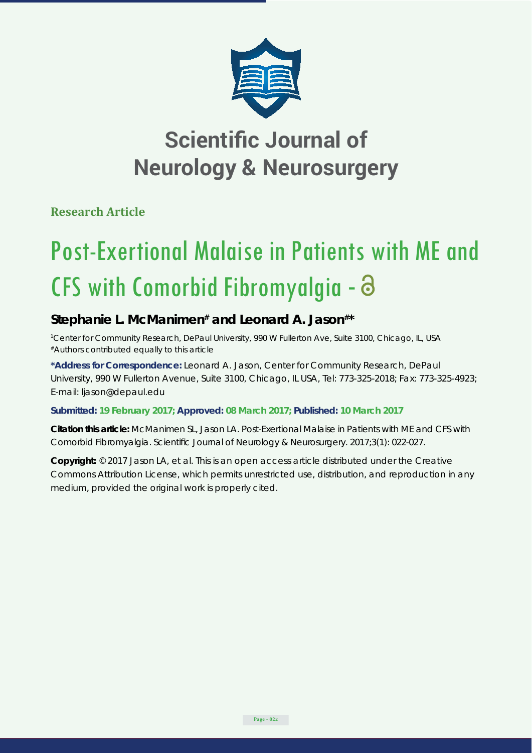

## **Scientific Journal of Neurology & Neurosurgery**

**Research Article**

# Post-Exertional Malaise in Patients with ME and CFS with Comorbid Fibromyalgia -

### Stephanie L. McManimen<sup>#</sup> and Leonard A. Jason<sup>#\*</sup>

*1 Center for Community Research, DePaul University, 990 W Fullerton Ave, Suite 3100, Chicago, IL, USA #Authors contributed equally to this article*

**\*Address for Correspondence:** Leonard A. Jason, Center for Community Research, DePaul University, 990 W Fullerton Avenue, Suite 3100, Chicago, IL USA, Tel: 773-325-2018; Fax: 773-325-4923; E-mail: ljason@depaul.edu

**Submitted: 19 February 2017; Approved: 08 March 2017; Published: 10 March 2017**

**Citation this article:** McManimen SL, Jason LA. Post-Exertional Malaise in Patients with ME and CFS with Comorbid Fibromyalgia. Scientific Journal of Neurology & Neurosurgery. 2017;3(1): 022-027.

**Copyright:** © 2017 Jason LA, et al. This is an open access article distributed under the Creative Commons Attribution License, which permits unrestricted use, distribution, and reproduction in any medium, provided the original work is properly cited.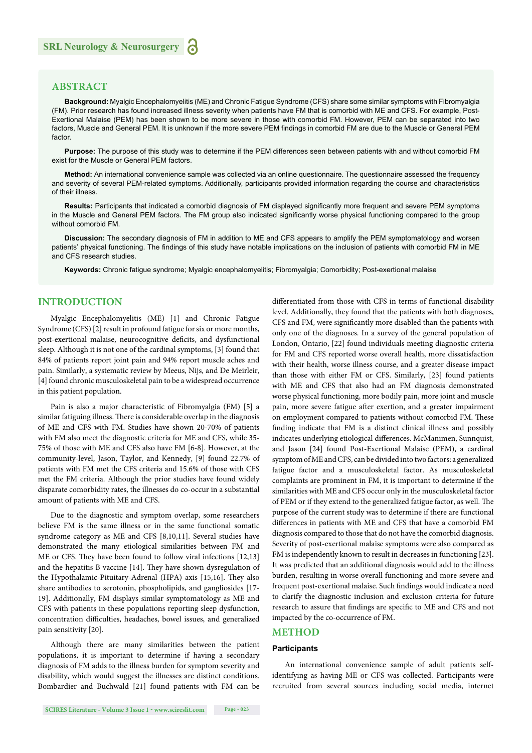#### **ABSTRACT**

**Background:** Myalgic Encephalomyelitis (ME) and Chronic Fatigue Syndrome (CFS) share some similar symptoms with Fibromyalgia (FM). Prior research has found increased illness severity when patients have FM that is comorbid with ME and CFS. For example, Post-Exertional Malaise (PEM) has been shown to be more severe in those with comorbid FM. However, PEM can be separated into two factors, Muscle and General PEM. It is unknown if the more severe PEM findings in comorbid FM are due to the Muscle or General PEM factor.

**Purpose:** The purpose of this study was to determine if the PEM differences seen between patients with and without comorbid FM exist for the Muscle or General PEM factors.

**Method:** An international convenience sample was collected via an online questionnaire. The questionnaire assessed the frequency and severity of several PEM-related symptoms. Additionally, participants provided information regarding the course and characteristics of their illness.

**Results:** Participants that indicated a comorbid diagnosis of FM displayed significantly more frequent and severe PEM symptoms in the Muscle and General PEM factors. The FM group also indicated significantly worse physical functioning compared to the group without comorbid FM.

**Discussion:** The secondary diagnosis of FM in addition to ME and CFS appears to amplify the PEM symptomatology and worsen patients' physical functioning. The findings of this study have notable implications on the inclusion of patients with comorbid FM in ME and CFS research studies.

**Keywords:** Chronic fatigue syndrome; Myalgic encephalomyelitis; Fibromyalgia; Comorbidity; Post-exertional malaise

#### **INTRODUCTION**

Myalgic Encephalomyelitis (ME) [1] and Chronic Fatigue Syndrome (CFS) [2] result in profound fatigue for six or more months, post-exertional malaise, neurocognitive deficits, and dysfunctional sleep. Although it is not one of the cardinal symptoms, [3] found that 84% of patients report joint pain and 94% report muscle aches and pain. Similarly, a systematic review by Meeus, Nijs, and De Meirleir, [4] found chronic musculoskeletal pain to be a widespread occurrence in this patient population.

Pain is also a major characteristic of Fibromyalgia (FM) [5] a similar fatiguing illness. There is considerable overlap in the diagnosis of ME and CFS with FM. Studies have shown 20-70% of patients with FM also meet the diagnostic criteria for ME and CFS, while 35- 75% of those with ME and CFS also have FM [6-8]. However, at the community-level, Jason, Taylor, and Kennedy, [9] found 22.7% of patients with FM met the CFS criteria and 15.6% of those with CFS met the FM criteria. Although the prior studies have found widely disparate comorbidity rates, the illnesses do co-occur in a substantial amount of patients with ME and CFS.

Due to the diagnostic and symptom overlap, some researchers believe FM is the same illness or in the same functional somatic syndrome category as ME and CFS [8,10,11]. Several studies have demonstrated the many etiological similarities between FM and ME or CFS. They have been found to follow viral infections [12,13] and the hepatitis B vaccine  $[14]$ . They have shown dysregulation of the Hypothalamic-Pituitary-Adrenal (HPA) axis [15,16]. They also share antibodies to serotonin, phospholipids, and gangliosides [17- 19]. Additionally, FM displays similar symptomatology as ME and CFS with patients in these populations reporting sleep dysfunction, concentration difficulties, headaches, bowel issues, and generalized pain sensitivity [20].

Although there are many similarities between the patient populations, it is important to determine if having a secondary diagnosis of FM adds to the illness burden for symptom severity and disability, which would suggest the illnesses are distinct conditions. Bombardier and Buchwald [21] found patients with FM can be

differentiated from those with CFS in terms of functional disability level. Additionally, they found that the patients with both diagnoses, CFS and FM, were significantly more disabled than the patients with only one of the diagnoses. In a survey of the general population of London, Ontario, [22] found individuals meeting diagnostic criteria for FM and CFS reported worse overall health, more dissatisfaction with their health, worse illness course, and a greater disease impact than those with either FM or CFS. Similarly, [23] found patients with ME and CFS that also had an FM diagnosis demonstrated worse physical functioning, more bodily pain, more joint and muscle pain, more severe fatigue after exertion, and a greater impairment on employment compared to patients without comorbid FM. These finding indicate that FM is a distinct clinical illness and possibly indicates underlying etiological differences. McManimen, Sunnquist, and Jason [24] found Post-Exertional Malaise (PEM), a cardinal symptom of ME and CFS, can be divided into two factors: a generalized fatigue factor and a musculoskeletal factor. As musculoskeletal complaints are prominent in FM, it is important to determine if the similarities with ME and CFS occur only in the musculoskeletal factor of PEM or if they extend to the generalized fatigue factor, as well. The purpose of the current study was to determine if there are functional differences in patients with ME and CFS that have a comorbid FM diagnosis compared to those that do not have the comorbid diagnosis. Severity of post-exertional malaise symptoms were also compared as FM is independently known to result in decreases in functioning [23]. It was predicted that an additional diagnosis would add to the illness burden, resulting in worse overall functioning and more severe and frequent post-exertional malaise. Such findings would indicate a need to clarify the diagnostic inclusion and exclusion criteria for future research to assure that findings are specific to ME and CFS and not impacted by the co-occurrence of FM.

#### **METHOD**

#### **Participants**

An international convenience sample of adult patients selfidentifying as having ME or CFS was collected. Participants were recruited from several sources including social media, internet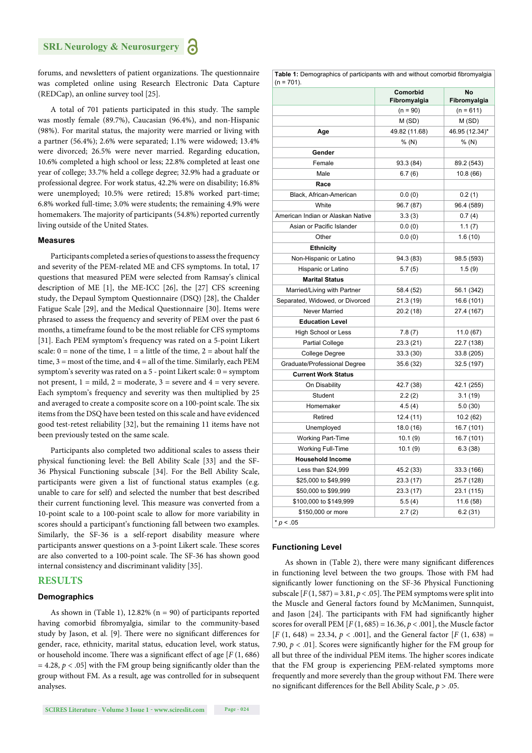#### **SRL Neurology & Neurosurgery**

forums, and newsletters of patient organizations. The questionnaire was completed online using Research Electronic Data Capture (REDCap), an online survey tool [25].

A total of 701 patients participated in this study. The sample was mostly female (89.7%), Caucasian (96.4%), and non-Hispanic (98%). For marital status, the majority were married or living with a partner (56.4%); 2.6% were separated; 1.1% were widowed; 13.4% were divorced; 26.5% were never married. Regarding education, 10.6% completed a high school or less; 22.8% completed at least one year of college; 33.7% held a college degree; 32.9% had a graduate or professional degree. For work status, 42.2% were on disability; 16.8% were unemployed; 10.5% were retired; 15.8% worked part-time; 6.8% worked full-time; 3.0% were students; the remaining 4.9% were homemakers. The majority of participants (54.8%) reported currently living outside of the United States.

#### **Measures**

Participants completed a series of questions to assess the frequency and severity of the PEM-related ME and CFS symptoms. In total, 17 questions that measured PEM were selected from Ramsay's clinical description of ME [1], the ME-ICC [26], the [27] CFS screening study, the Depaul Symptom Questionnaire (DSQ) [28], the Chalder Fatigue Scale [29], and the Medical Questionnaire [30]. Items were phrased to assess the frequency and severity of PEM over the past 6 months, a timeframe found to be the most reliable for CFS symptoms [31]. Each PEM symptom's frequency was rated on a 5-point Likert scale:  $0 =$  none of the time,  $1 =$  a little of the time,  $2 =$  about half the time,  $3 =$  most of the time, and  $4 =$  all of the time. Similarly, each PEM symptom's severity was rated on a 5 - point Likert scale: 0 = symptom not present,  $1 = \text{mild}$ ,  $2 = \text{moderate}$ ,  $3 = \text{severe}$  and  $4 = \text{very severe}$ . Each symptom's frequency and severity was then multiplied by 25 and averaged to create a composite score on a 100-point scale. The six items from the DSQ have been tested on this scale and have evidenced good test-retest reliability [32], but the remaining 11 items have not been previously tested on the same scale.

Participants also completed two additional scales to assess their physical functioning level: the Bell Ability Scale [33] and the SF-36 Physical Functioning subscale [34]. For the Bell Ability Scale, participants were given a list of functional status examples (e.g. unable to care for self) and selected the number that best described their current functioning level. This measure was converted from a 10-point scale to a 100-point scale to allow for more variability in scores should a participant's functioning fall between two examples. Similarly, the SF-36 is a self-report disability measure where participants answer questions on a 3-point Likert scale. These scores are also converted to a 100-point scale. The SF-36 has shown good internal consistency and discriminant validity [35].

#### **RESULTS**

#### **Demographics**

As shown in (Table 1), 12.82% ( $n = 90$ ) of participants reported having comorbid fibromyalgia, similar to the community-based study by Jason, et al. [9]. There were no significant differences for gender, race, ethnicity, marital status, education level, work status, or household income. There was a significant effect of age [*F* (1, 686)  $= 4.28$ ,  $p < .05$ ] with the FM group being significantly older than the group without FM. As a result, age was controlled for in subsequent analyses.

**Table 1:** Demographics of participants with and without comorbid fibromyalgia  $(n - 701)$ 

| w<br>.                            |                          |                    |
|-----------------------------------|--------------------------|--------------------|
|                                   | Comorbid<br>Fibromyalgia | No<br>Fibromyalgia |
|                                   | $(n = 90)$               | $(n = 611)$        |
|                                   | M (SD)                   | M(SD)              |
| Age                               | 49.82 (11.68)            | 46.95 (12.34)*     |
|                                   | % (N)                    | % (N)              |
| Gender                            |                          |                    |
| Female                            | 93.3 (84)                | 89.2 (543)         |
| Male                              | 6.7(6)                   | 10.8(66)           |
| Race                              |                          |                    |
| Black, African-American           | 0.0(0)                   | 0.2(1)             |
| White                             | 96.7 (87)                | 96.4 (589)         |
| American Indian or Alaskan Native | 3.3(3)                   | 0.7(4)             |
| Asian or Pacific Islander         | 0.0(0)                   | 1.1(7)             |
| Other                             | 0.0(0)                   | 1.6(10)            |
| <b>Ethnicity</b>                  |                          |                    |
| Non-Hispanic or Latino            | 94.3 (83)                | 98.5 (593)         |
| Hispanic or Latino                | 5.7(5)                   | 1.5(9)             |
| <b>Marital Status</b>             |                          |                    |
| Married/Living with Partner       | 58.4 (52)                | 56.1 (342)         |
| Separated, Widowed, or Divorced   | 21.3(19)                 | 16.6 (101)         |
| Never Married                     | 20.2 (18)                | 27.4 (167)         |
| <b>Education Level</b>            |                          |                    |
| High School or Less               | 7.8(7)                   | 11.0 (67)          |
| <b>Partial College</b>            | 23.3 (21)                | 22.7 (138)         |
| College Degree                    | 33.3(30)                 | 33.8 (205)         |
| Graduate/Professional Degree      | 35.6 (32)                | 32.5 (197)         |
| <b>Current Work Status</b>        |                          |                    |
| On Disability                     | 42.7 (38)                | 42.1 (255)         |
| Student                           | 2.2(2)                   | 3.1(19)            |
| Homemaker                         | 4.5(4)                   | 5.0(30)            |
| Retired                           | 12.4 (11)                | 10.2(62)           |
| Unemployed                        | 18.0 (16)                | 16.7 (101)         |
| <b>Working Part-Time</b>          | 10.1(9)                  | 16.7 (101)         |
| <b>Working Full-Time</b>          | 10.1(9)                  | 6.3(38)            |
| <b>Household Income</b>           |                          |                    |
| Less than \$24,999                | 45.2 (33)                | 33.3 (166)         |
| \$25,000 to \$49,999              | 23.3 (17)                | 25.7 (128)         |
| \$50,000 to \$99,999              | 23.3 (17)                | 23.1 (115)         |
| \$100,000 to \$149,999            | 5.5(4)                   | 11.6(58)           |
| \$150,000 or more                 | 2.7(2)                   | 6.2(31)            |
| $* p < .05$                       |                          |                    |

#### **Functioning Level**

As shown in (Table 2), there were many significant differences in functioning level between the two groups. Those with FM had significantly lower functioning on the SF-36 Physical Functioning subscale  $[F(1, 587) = 3.81, p < .05]$ . The PEM symptoms were split into the Muscle and General factors found by McManimen, Sunnquist, and Jason [24]. The participants with FM had significantly higher scores for overall PEM  $[F(1, 685) = 16.36, p < .001]$ , the Muscle factor  $[F(1, 648) = 23.34, p < .001]$ , and the General factor  $[F(1, 638) =$ 7.90,  $p < .01$ ]. Scores were significantly higher for the FM group for all but three of the individual PEM items. The higher scores indicate that the FM group is experiencing PEM-related symptoms more frequently and more severely than the group without FM. There were no significant differences for the Bell Ability Scale,  $p > .05$ .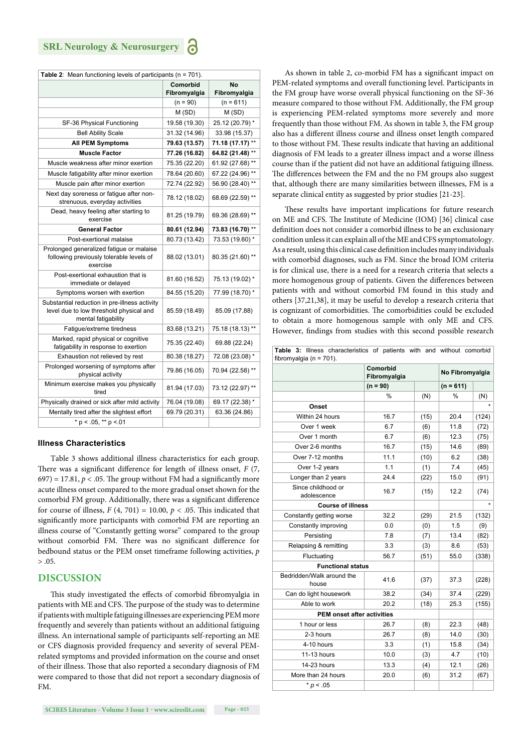| Table 2: Mean functioning levels of participants ( $n = 701$ ).                                                 |                       |                  |  |  |  |  |
|-----------------------------------------------------------------------------------------------------------------|-----------------------|------------------|--|--|--|--|
|                                                                                                                 | Comorbid<br><b>No</b> |                  |  |  |  |  |
|                                                                                                                 | Fibromyalgia          | Fibromyalgia     |  |  |  |  |
|                                                                                                                 | $(n = 90)$            | $(n = 611)$      |  |  |  |  |
|                                                                                                                 | M (SD)                | M(SD)            |  |  |  |  |
| SF-36 Physical Functioning                                                                                      | 19.58 (19.30)         | 25.12 (20.79) *  |  |  |  |  |
| <b>Bell Ability Scale</b>                                                                                       | 31.32 (14.96)         | 33.98 (15.37)    |  |  |  |  |
| All PEM Symptoms                                                                                                | 79.63 (13.57)         | 71.18 (17.17) ** |  |  |  |  |
| <b>Muscle Factor</b>                                                                                            | 77.26 (16.82)         | 64.82 (21.48) ** |  |  |  |  |
| Muscle weakness after minor exertion                                                                            | 75.35 (22.20)         | 61.92 (27.68) ** |  |  |  |  |
| Muscle fatigability after minor exertion                                                                        | 78.64 (20.60)         | 67.22 (24.96) ** |  |  |  |  |
| Muscle pain after minor exertion                                                                                | 72.74 (22.92)         | 56.90 (28.40) ** |  |  |  |  |
| Next day soreness or fatigue after non-<br>strenuous, everyday activities                                       | 78.12 (18.02)         | 68.69 (22.59) ** |  |  |  |  |
| Dead, heavy feeling after starting to<br>exercise                                                               | 81.25 (19.79)         | 69.36 (28.69) ** |  |  |  |  |
| <b>General Factor</b>                                                                                           | 80.61 (12.94)         | 73.83 (16.70) ** |  |  |  |  |
| Post-exertional malaise                                                                                         | 80.73 (13.42)         | 73.53 (19.60) *  |  |  |  |  |
| Prolonged generalized fatigue or malaise<br>following previously tolerable levels of<br>exercise                | 88.02 (13.01)         | 80.35 (21.60) ** |  |  |  |  |
| Post-exertional exhaustion that is<br>immediate or delayed                                                      | 81.60 (16.52)         | 75.13 (19.02) *  |  |  |  |  |
| Symptoms worsen with exertion                                                                                   | 84.55 (15.20)         | 77.99 (18.70) *  |  |  |  |  |
| Substantial reduction in pre-illness activity<br>level due to low threshold physical and<br>mental fatigability | 85.59 (18.49)         | 85.09 (17.88)    |  |  |  |  |
| Fatigue/extreme tiredness                                                                                       | 83.68 (13.21)         | 75.18 (18.13) ** |  |  |  |  |
| Marked, rapid physical or cognitive<br>fatigability in response to exertion                                     | 75.35 (22.40)         | 69.88 (22.24)    |  |  |  |  |
| Exhaustion not relieved by rest                                                                                 | 80.38 (18.27)         | 72.08 (23.08) *  |  |  |  |  |
| Prolonged worsening of symptoms after<br>physical activity                                                      | 79.86 (16.05)         | 70.94 (22.58) ** |  |  |  |  |
| Minimum exercise makes you physically<br>tired                                                                  | 81.94 (17.03)         | 73.12 (22.97) ** |  |  |  |  |
| Physically drained or sick after mild activity                                                                  | 76.04 (19.08)         | 69.17 (22.38) *  |  |  |  |  |
| Mentally tired after the slightest effort                                                                       | 69.79 (20.31)         | 63.36 (24.86)    |  |  |  |  |
| $*$ p < .05, $**$ p <.01                                                                                        |                       |                  |  |  |  |  |

#### **Illness Characteristics**

Table 3 shows additional illness characteristics for each group. There was a significant difference for length of illness onset, *F* (7,  $(697) = 17.81$ ,  $p < .05$ . The group without FM had a significantly more acute illness onset compared to the more gradual onset shown for the comorbid FM group. Additionally, there was a significant difference for course of illness,  $F(4, 701) = 10.00$ ,  $p < .05$ . This indicated that significantly more participants with comorbid FM are reporting an illness course of "Constantly getting worse" compared to the group without comorbid FM. There was no significant difference for bedbound status or the PEM onset timeframe following activities, *p*   $> 0.05$ .

#### **DISCUSSION**

This study investigated the effects of comorbid fibromyalgia in patients with ME and CFS. The purpose of the study was to determine if patients with multiple fatiguing illnesses are experiencing PEM more frequently and severely than patients without an additional fatiguing illness. An international sample of participants self-reporting an ME or CFS diagnosis provided frequency and severity of several PEMrelated symptoms and provided information on the course and onset of their illness. Those that also reported a secondary diagnosis of FM were compared to those that did not report a secondary diagnosis of FM.

**SCIRES Literature - Volume 3 Issue 1 - www.scireslit.com Page - 025**

As shown in table 2, co-morbid FM has a significant impact on PEM-related symptoms and overall functioning level. Participants in the FM group have worse overall physical functioning on the SF-36 measure compared to those without FM. Additionally, the FM group is experiencing PEM-related symptoms more severely and more frequently than those without FM. As shown in table 3, the FM group also has a different illness course and illness onset length compared to those without FM. These results indicate that having an additional diagnosis of FM leads to a greater illness impact and a worse illness course than if the patient did not have an additional fatiguing illness. The differences between the FM and the no FM groups also suggest that, although there are many similarities between illnesses, FM is a separate clinical entity as suggested by prior studies [21-23].

These results have important implications for future research on ME and CFS. The Institute of Medicine (IOM) [36] clinical case definition does not consider a comorbid illness to be an exclusionary condition unless it can explain all of the ME and CFS symptomatology. As a result, using this clinical case definition includes many individuals with comorbid diagnoses, such as FM. Since the broad IOM criteria is for clinical use, there is a need for a research criteria that selects a more homogenous group of patients. Given the differences between patients with and without comorbid FM found in this study and others [37,21,38], it may be useful to develop a research criteria that is cognizant of comorbidities. The comorbidities could be excluded to obtain a more homogenous sample with only ME and CFS. However, findings from studies with this second possible research

|  |                           | <b>Table 3:</b> Illness characteristics of patients with and without comorbid |  |  |  |
|--|---------------------------|-------------------------------------------------------------------------------|--|--|--|
|  | fibromvaloia (n = $701$ ) |                                                                               |  |  |  |

| fibromyalgia ( $n = 701$ ).        |                          |                 |               |       |  |  |  |
|------------------------------------|--------------------------|-----------------|---------------|-------|--|--|--|
|                                    | Comorbid<br>Fibromyalgia | No Fibromyalgia |               |       |  |  |  |
|                                    | $(n = 90)$               |                 | $(n = 611)$   |       |  |  |  |
|                                    | $\frac{9}{6}$            | (N)             | $\frac{0}{0}$ | (N)   |  |  |  |
| Onset                              |                          |                 |               |       |  |  |  |
| Within 24 hours                    | 16.7                     | (15)            | 20.4          | (124) |  |  |  |
| Over 1 week                        | 6.7                      | (6)             | 11.8          | (72)  |  |  |  |
| Over 1 month                       | 6.7                      | (6)             | 12.3          | (75)  |  |  |  |
| Over 2-6 months                    | 16.7                     | (15)            | 14.6          | (89)  |  |  |  |
| Over 7-12 months                   | 11.1                     | (10)            | 6.2           | (38)  |  |  |  |
| Over 1-2 years                     | 1.1                      | (1)             | 7.4           | (45)  |  |  |  |
| Longer than 2 years                | 24.4                     | (22)            | 15.0          | (91)  |  |  |  |
| Since childhood or<br>adolescence  | 16.7                     | (15)            | 12.2          | (74)  |  |  |  |
| <b>Course of illness</b>           |                          |                 |               |       |  |  |  |
| Constantly getting worse           | 32.2                     | (29)            | 21.5          | (132) |  |  |  |
| Constantly improving               | 0.0                      | (0)             | 1.5           | (9)   |  |  |  |
| Persisting                         | 7.8                      | (7)             | 13.4          | (82)  |  |  |  |
| Relapsing & remitting              | 3.3                      | (3)             | 8.6           | (53)  |  |  |  |
| Fluctuating                        | 56.7                     | (51)            | 55.0          | (338) |  |  |  |
| <b>Functional status</b>           |                          |                 |               |       |  |  |  |
| Bedridden/Walk around the<br>house | 41.6                     | (37)            | 37.3          | (228) |  |  |  |
| Can do light housework             | 38.2                     | (34)            | 37.4          | (229) |  |  |  |
| Able to work                       | 20.2                     | (18)            | 25.3          | (155) |  |  |  |
| <b>PEM onset after activities</b>  |                          |                 |               |       |  |  |  |
| 1 hour or less                     | 26.7                     | (8)             | 22.3          | (48)  |  |  |  |
| 2-3 hours                          | 26.7                     | (8)             | 14.0          | (30)  |  |  |  |
| 4-10 hours                         | 3.3                      | (1)             | 15.8          | (34)  |  |  |  |
| 11-13 hours                        | 10.0                     | (3)             | 4.7           | (10)  |  |  |  |
| 14-23 hours                        | 13.3                     | (4)             | 12.1          | (26)  |  |  |  |
| More than 24 hours                 | 20.0                     | (6)             | 31.2          | (67)  |  |  |  |
| $* p < .05$                        |                          |                 |               |       |  |  |  |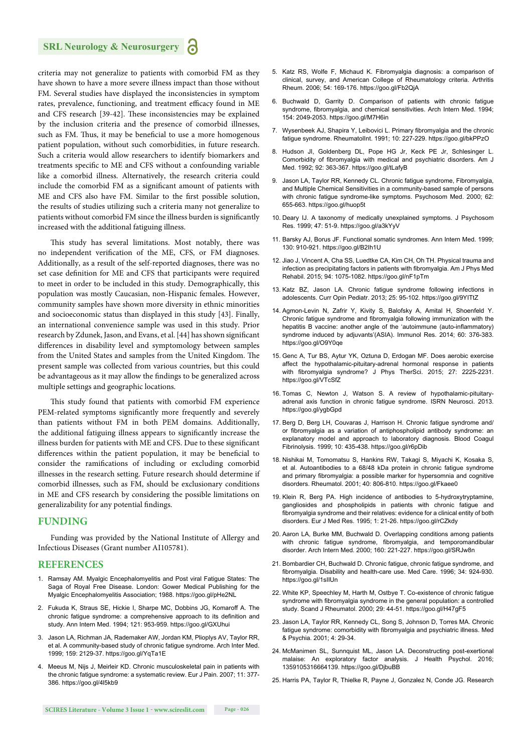#### **SRL Neurology & Neurosurgery**

criteria may not generalize to patients with comorbid FM as they have shown to have a more severe illness impact than those without FM. Several studies have displayed the inconsistencies in symptom rates, prevalence, functioning, and treatment efficacy found in ME and CFS research [39-42]. These inconsistencies may be explained by the inclusion criteria and the presence of comorbid illnesses, such as FM. Thus, it may be beneficial to use a more homogenous patient population, without such comorbidities, in future research. Such a criteria would allow researchers to identify biomarkers and treatments specific to ME and CFS without a confounding variable like a comorbid illness. Alternatively, the research criteria could include the comorbid FM as a significant amount of patients with ME and CFS also have FM. Similar to the first possible solution, the results of studies utilizing such a criteria many not generalize to patients without comorbid FM since the illness burden is significantly increased with the additional fatiguing illness.

This study has several limitations. Most notably, there was no independent verification of the ME, CFS, or FM diagnoses. Additionally, as a result of the self-reported diagnoses, there was no set case definition for ME and CFS that participants were required to meet in order to be included in this study. Demographically, this population was mostly Caucasian, non-Hispanic females. However, community samples have shown more diversity in ethnic minorities and socioeconomic status than displayed in this study [43]. Finally, an international convenience sample was used in this study. Prior research by Zdunek, Jason, and Evans, et al. [44] has shown significant differences in disability level and symptomology between samples from the United States and samples from the United Kingdom. The present sample was collected from various countries, but this could be advantageous as it may allow the findings to be generalized across multiple settings and geographic locations.

This study found that patients with comorbid FM experience PEM-related symptoms significantly more frequently and severely than patients without FM in both PEM domains. Additionally, the additional fatiguing illness appears to significantly increase the illness burden for patients with ME and CFS. Due to these significant differences within the patient population, it may be beneficial to consider the ramifications of including or excluding comorbid illnesses in the research setting. Future research should determine if comorbid illnesses, such as FM, should be exclusionary conditions in ME and CFS research by considering the possible limitations on generalizability for any potential findings.

#### **FUNDING**

Funding was provided by the National Institute of Allergy and Infectious Diseases (Grant number AI105781).

#### **REFERENCES**

- 1. Ramsay AM. Myalgic Encephalomyelitis and Post viral Fatigue States: The Saga of Royal Free Disease. London: Gower Medical Publishing for the Myalgic Encephalomyelitis Association; 1988. https://goo.gl/pHe2NL
- 2. Fukuda K, Straus SE, Hickie I, Sharpe MC, Dobbins JG, Komaroff A. The chronic fatigue syndrome: a comprehensive approach to its definition and study. Ann Intern Med. 1994; 121: 953-959. https://goo.gl/GXUhui
- 3. Jason LA, Richman JA, Rademaker AW, Jordan KM, Plioplys AV, Taylor RR, et al. A community-based study of chronic fatigue syndrome. Arch Inter Med. 1999; 159: 2129-37. https://goo.gl/YqTa1E
- 4. Meeus M, Nijs J, Meirleir KD. Chronic musculoskeletal pain in patients with the chronic fatigue syndrome: a systematic review. Eur J Pain. 2007; 11: 377- 386. https://goo.gl/4l5kb9
- 5. Katz RS, Wolfe F, Michaud K. Fibromyalgia diagnosis: a comparison of clinical, survey, and American College of Rheumatology criteria. Arthritis Rheum. 2006; 54: 169-176. https://goo.gl/Fb2QjA
- 6. Buchwald D, Garrity D. Comparison of patients with chronic fatigue syndrome, fibromyalgia, and chemical sensitivities. Arch Intern Med. 1994; 154: 2049-2053. https://goo.gl/M7H6in
- 7. Wysenbeek AJ, Shapira Y, Leibovici L. Primary fibromyalgia and the chronic fatigue syndrome. RheumatolInt. 1991; 10: 227-229. https://goo.gl/bkPPzO
- 8. Hudson JL, Goldenberg DL, Pope HG Jr, Keck PE Jr, Schlesinger L. Comorbidity of fibromyalgia with medical and psychiatric disorders. Am J Med. 1992; 92: 363-367. https://goo.gl/tLafyB
- 9. Jason LA, Taylor RR, Kennedy CL. Chronic fatigue syndrome, Fibromyalgia, and Multiple Chemical Sensitivities in a community-based sample of persons with chronic fatigue syndrome-like symptoms. Psychosom Med. 2000; 62: 655-663. https://goo.gl/huop5t
- 10. Deary IJ. A taxonomy of medically unexplained symptoms. J Psychosom Res. 1999; 47: 51-9. https://goo.gl/a3kYyV
- 11. Barsky AJ, Borus JF. Functional somatic syndromes. Ann Intern Med. 1999; 130: 910-921. https://goo.gl/B2Ih1U
- 12. Jiao J, Vincent A, Cha SS, Luedtke CA, Kim CH, Oh TH. Physical trauma and infection as precipitating factors in patients with fibromyalgia. Am J Phys Med Rehabil. 2015; 94: 1075-1082. https://goo.gl/nF1pTm
- 13. Katz BZ, Jason LA. Chronic fatigue syndrome following infections in adolescents. Curr Opin Pediatr. 2013; 25: 95-102. https://goo.gl/9YITtZ
- 14. Agmon-Levin N, Zafrir Y, Kivity S, Balofsky A, Amital H, Shoenfeld Y. Chronic fatigue syndrome and fibromyalgia following immunization with the hepatitis B vaccine: another angle of the 'autoimmune (auto-inflammatory) syndrome induced by adjuvants'(ASIA). Immunol Res. 2014; 60: 376-383. https://goo.gl/O9Y0qe
- 15. Genc A, Tur BS, Aytur YK, Oztuna D, Erdogan MF. Does aerobic exercise affect the hypothalamic-pituitary-adrenal hormonal response in patients with fibromyalgia syndrome? J Phys TherSci. 2015; 27: 2225-2231. https://goo.gl/VTcSfZ
- 16. Tomas C, Newton J, Watson S. A review of hypothalamic-pituitaryadrenal axis function in chronic fatigue syndrome. ISRN Neurosci. 2013. https://goo.gl/ygbGpd
- 17. Berg D, Berg LH, Couvaras J, Harrison H. Chronic fatigue syndrome and/ or fibromyalgia as a variation of antiphospholipid antibody syndrome: an explanatory model and approach to laboratory diagnosis. Blood Coagul Fibrinolysis. 1999; 10: 435-438. https://goo.gl/r6pDib
- 18. Nishikai M, Tomomatsu S, Hankins RW, Takagi S, Miyachi K, Kosaka S, et al. Autoantibodies to a 68/48 kDa protein in chronic fatigue syndrome and primary fibromyalgia: a possible marker for hypersomnia and cognitive disorders. Rheumatol. 2001; 40: 806-810. https://goo.gl/Fkaee0
- 19. Klein R, Berg PA. High incidence of antibodies to 5-hydroxytryptamine, gangliosides and phospholipids in patients with chronic fatigue and fibromyalgia syndrome and their relatives: evidence for a clinical entity of both disorders. Eur J Med Res. 1995; 1: 21-26. https://goo.gl/rCZkdy
- 20. Aaron LA, Burke MM, Buchwald D. Overlapping conditions among patients with chronic fatigue syndrome, fibromyalgia, and temporomandibular disorder. Arch Intern Med. 2000; 160: 221-227. https://goo.gl/SRJw8n
- 21. Bombardier CH, Buchwald D. Chronic fatigue, chronic fatigue syndrome, and fibromyalgia. Disability and health-care use. Med Care. 1996; 34: 924-930. https://goo.gl/1sIIUn
- 22. White KP, Speechley M, Harth M, Ostbye T. Co-existence of chronic fatigue syndrome with fibromyalgia syndrome in the general population: a controlled study. Scand J Rheumatol. 2000; 29: 44-51. https://goo.gl/H47gF5
- 23. Jason LA, Taylor RR, Kennedy CL, Song S, Johnson D, Torres MA. Chronic fatigue syndrome: comorbidity with fibromyalgia and psychiatric illness. Med & Psychia. 2001; 4: 29-34.
- 24. McManimen SL, Sunnquist ML, Jason LA. Deconstructing post-exertional malaise: An exploratory factor analysis. J Health Psychol. 2016; 1359105316664139. https://goo.gl/DjbuBB
- 25. Harris PA, Taylor R, Thielke R, Payne J, Gonzalez N, Conde JG. Research